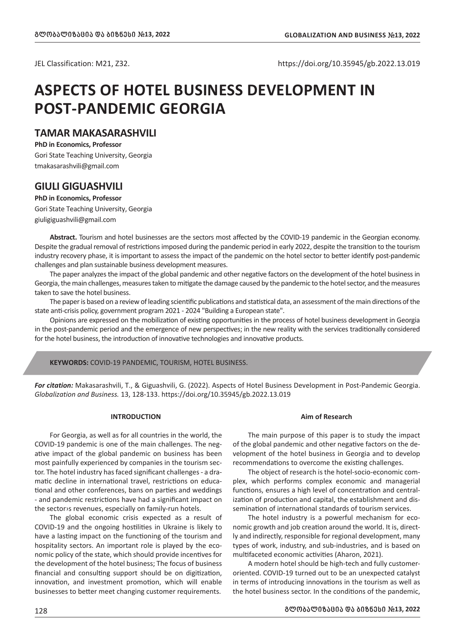JEL Classification: M21, Z32. https://doi.org/10.35945/gb.2022.13.019

# **ASPECTS OF HOTEL BUSINESS DEVELOPMENT IN POST-PANDEMIC GEORGIA**

# **TAMAR MAKASARASHVILI**

**PhD in Economics, Professor**  Gori State Teaching University, Georgia tmakasarashvili@gmail.com

# **GIULI GIGUASHVILI**

**PhD in Economics, Professor** Gori State Teaching University, Georgia giuligiguashvili@gmail.com

**Abstract.** Tourism and hotel businesses are the sectors most affected by the COVID-19 pandemic in the Georgian economy. Despite the gradual removal of restrictions imposed during the pandemic period in early 2022, despite the transition to the tourism industry recovery phase, it is important to assess the impact of the pandemic on the hotel sector to better identify post-pandemic challenges and plan sustainable business development measures.

The paper analyzes the impact of the global pandemic and other negative factors on the development of the hotel business in Georgia, the main challenges, measures taken to mitigate the damage caused by the pandemic to the hotel sector, and the measures taken to save the hotel business.

The paper is based on a review of leading scientific publications and statistical data, an assessment of the main directions of the state anti-crisis policy, government program 2021 - 2024 "Building a European state".

Opinions are expressed on the mobilization of existing opportunities in the process of hotel business development in Georgia in the post-pandemic period and the emergence of new perspectives; in the new reality with the services traditionally considered for the hotel business, the introduction of innovative technologies and innovative products.

**KEYWORDS:** COVID-19 PANDEMIC, TOURISM, HOTEL BUSINESS.

*For citation:* Makasarashvili, T., & Giguashvili, G. (2022). Aspects of Hotel Business Development in Post-Pandemic Georgia. *Globalization and Business.* 13, 128-133. https://doi.org/10.35945/gb.2022.13.019

## **INTRODUCTION**

For Georgia, as well as for all countries in the world, the COVID-19 pandemic is one of the main challenges. The negative impact of the global pandemic on business has been most painfully experienced by companies in the tourism sector. The hotel industry has faced significant challenges - a dramatic decline in international travel, restrictions on educational and other conferences, bans on parties and weddings - and pandemic restrictions have had a significant impact on the sector›s revenues, especially on family-run hotels.

The global economic crisis expected as a result of COVID-19 and the ongoing hostilities in Ukraine is likely to have a lasting impact on the functioning of the tourism and hospitality sectors. An important role is played by the economic policy of the state, which should provide incentives for the development of the hotel business; The focus of business financial and consulting support should be on digitization, innovation, and investment promotion, which will enable businesses to better meet changing customer requirements.

# **Aim of Research**

The main purpose of this paper is to study the impact of the global pandemic and other negative factors on the development of the hotel business in Georgia and to develop recommendations to overcome the existing challenges.

The object of research is the hotel-socio-economic complex, which performs complex economic and managerial functions, ensures a high level of concentration and centralization of production and capital, the establishment and dissemination of international standards of tourism services.

The hotel industry is a powerful mechanism for economic growth and job creation around the world. It is, directly and indirectly, responsible for regional development, many types of work, industry, and sub-industries, and is based on multifaceted economic activities (Aharon, 2021).

A modern hotel should be high-tech and fully customeroriented. COVID-19 turned out to be an unexpected catalyst in terms of introducing innovations in the tourism as well as the hotel business sector. In the conditions of the pandemic,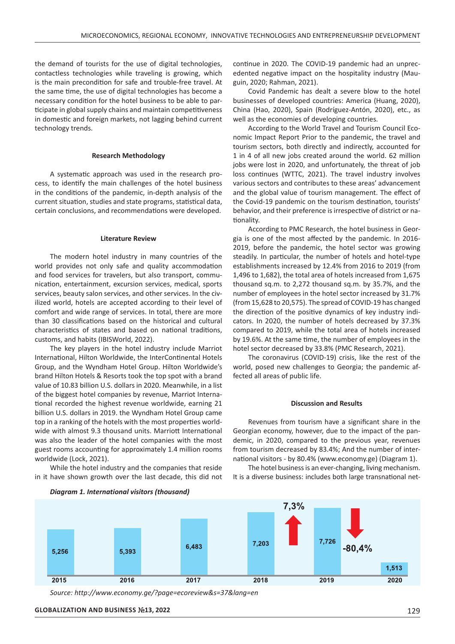the demand of tourists for the use of digital technologies, contactless technologies while traveling is growing, which is the main precondition for safe and trouble-free travel. At the same time, the use of digital technologies has become a necessary condition for the hotel business to be able to participate in global supply chains and maintain competitiveness in domestic and foreign markets, not lagging behind current technology trends.

## **Research Methodology**

A systematic approach was used in the research process, to identify the main challenges of the hotel business in the conditions of the pandemic, in-depth analysis of the current situation, studies and state programs, statistical data, certain conclusions, and recommendations were developed.

#### **Literature Review**

The modern hotel industry in many countries of the world provides not only safe and quality accommodation and food services for travelers, but also transport, communication, entertainment, excursion services, medical, sports services, beauty salon services, and other services. In the civilized world, hotels are accepted according to their level of comfort and wide range of services. In total, there are more than 30 classifications based on the historical and cultural characteristics of states and based on national traditions, customs, and habits (IBISWorld, 2022).

The key players in the hotel industry include Marriot International, Hilton Worldwide, the InterContinental Hotels Group, and the Wyndham Hotel Group. Hilton Worldwide's brand Hilton Hotels & Resorts took the top spot with a brand value of 10.83 billion U.S. dollars in 2020. Meanwhile, in a list of the biggest hotel companies by revenue, Marriot International recorded the highest revenue worldwide, earning 21 billion U.S. dollars in 2019. the Wyndham Hotel Group came top in a ranking of the hotels with the most properties worldwide with almost 9.3 thousand units. Marriott International was also the leader of the hotel companies with the most guest rooms accounting for approximately 1.4 million rooms worldwide (Lock, 2021).

While the hotel industry and the companies that reside in it have shown growth over the last decade, this did not continue in 2020. The COVID-19 pandemic had an unprecedented negative impact on the hospitality industry (Mauguin, 2020; Rahman, 2021).

Covid Pandemic has dealt a severe blow to the hotel businesses of developed countries: America (Huang, 2020), China (Hao, 2020), Spain (Rodríguez-Antón, 2020), etc., as well as the economies of developing countries.

According to the World Travel and Tourism Council Economic Impact Report Prior to the pandemic, the travel and tourism sectors, both directly and indirectly, accounted for 1 in 4 of all new jobs created around the world. 62 million jobs were lost in 2020, and unfortunately, the threat of job loss continues (WTTC, 2021). The travel industry involves various sectors and contributes to these areas' advancement and the global value of tourism management. The effect of the Covid-19 pandemic on the tourism destination, tourists' behavior, and their preference is irrespective of district or nationality.

According to PMC Research, the hotel business in Georgia is one of the most affected by the pandemic. In 2016- 2019, before the pandemic, the hotel sector was growing steadily. In particular, the number of hotels and hotel-type establishments increased by 12.4% from 2016 to 2019 (from 1,496 to 1,682), the total area of hotels increased from 1,675 thousand sq.m. to 2,272 thousand sq.m. by 35.7%, and the number of employees in the hotel sector increased by 31.7% (from 15,628 to 20,575). The spread of COVID-19 has changed the direction of the positive dynamics of key industry indicators. In 2020, the number of hotels decreased by 37.3% compared to 2019, while the total area of hotels increased by 19.6%. At the same time, the number of employees in the hotel sector decreased by 33.8% (PMC Research, 2021).

The coronavirus (COVID-19) crisis, like the rest of the world, posed new challenges to Georgia; the pandemic affected all areas of public life.

#### **Discussion and Results**

Revenues from tourism have a significant share in the Georgian economy, however, due to the impact of the pandemic, in 2020, compared to the previous year, revenues from tourism decreased by 83.4%; And the number of international visitors - by 80.4% (www.economy.ge) (Diagram 1).

The hotel business is an ever-changing, living mechanism. It is a diverse business: includes both large transnational net-



*Source: http://www.economy.ge/?page=ecoreview&s=37&lang=en*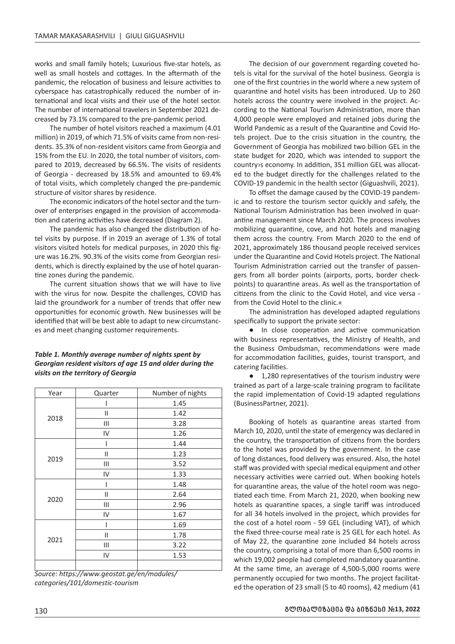works and small family hotels; Luxurious five-star hotels, as well as small hostels and cottages. In the aftermath of the pandemic, the relocation of business and leisure activities to cyberspace has catastrophically reduced the number of international and local visits and their use of the hotel sector. The number of international travelers in September 2021 decreased by 73.1% compared to the pre-pandemic period.

The number of hotel visitors reached a maximum (4.01 million) in 2019, of which 71.5% of visits came from non-residents. 35.3% of non-resident visitors came from Georgia and 15% from the EU. In 2020, the total number of visitors, compared to 2019, decreased by 66.5%. The visits of residents of Georgia - decreased by 18.5% and amounted to 69.4% of total visits, which completely changed the pre-pandemic structure of visitor shares by residence.

The economic indicators of the hotel sector and the turnover of enterprises engaged in the provision of accommodation and catering activities have decreased (Diagram 2).

The pandemic has also changed the distribution of hotel visits by purpose. If in 2019 an average of 1.3% of total visitors visited hotels for medical purposes, in 2020 this figure was 16.2%. 90.3% of the visits come from Georgian residents, which is directly explained by the use of hotel quarantine zones during the pandemic.

The current situation shows that we will have to live with the virus for now. Despite the challenges, COVID has laid the groundwork for a number of trends that offer new opportunities for economic growth. New businesses will be identified that will be best able to adapt to new circumstances and meet changing customer requirements.

# *Table 1. Monthly average number of nights spent by Georgian resident visitors of age 15 and older during the visits on the territory of Georgia*

| Year | Quarter       | Number of nights |  |  |  |  |
|------|---------------|------------------|--|--|--|--|
| 2018 |               | 1.45             |  |  |  |  |
|      | Ш             | 1.42             |  |  |  |  |
|      | Ш             | 3.28             |  |  |  |  |
|      | IV            | 1.26             |  |  |  |  |
| 2019 |               | 1.44             |  |  |  |  |
|      | Ш             | 1.23             |  |  |  |  |
|      | Ш             | 3.52             |  |  |  |  |
|      | IV            | 1.33             |  |  |  |  |
| 2020 |               | 1.48             |  |  |  |  |
|      | $\mathsf{II}$ | 2.64             |  |  |  |  |
|      | Ш             | 2.96             |  |  |  |  |
|      | IV            | 1.67             |  |  |  |  |
| 2021 |               | 1.69             |  |  |  |  |
|      | Ш             | 1.78             |  |  |  |  |
|      | Ш             | 3.22             |  |  |  |  |
|      | IV            | 1.53             |  |  |  |  |
|      |               |                  |  |  |  |  |

*Source: https://www.geostat.ge/en/modules/ categories/101/domestic-tourism*

The decision of our government regarding coveted hotels is vital for the survival of the hotel business. Georgia is one of the first countries in the world where a new system of quarantine and hotel visits has been introduced. Up to 260 hotels across the country were involved in the project. According to the National Tourism Administration, more than 4,000 people were employed and retained jobs during the World Pandemic as a result of the Quarantine and Covid Hotels project. Due to the crisis situation in the country, the Government of Georgia has mobilized two billion GEL in the state budget for 2020, which was intended to support the country›s economy. In addition, 351 million GEL was allocated to the budget directly for the challenges related to the COVID-19 pandemic in the health sector (Giguashvili, 2021).

To offset the damage caused by the COVID-19 pandemic and to restore the tourism sector quickly and safely, the National Tourism Administration has been involved in quarantine management since March 2020. The process involves mobilizing quarantine, cove, and hot hotels and managing them across the country. From March 2020 to the end of 2021, approximately 186 thousand people received services under the Quarantine and Covid Hotels project. The National Tourism Administration carried out the transfer of passengers from all border points (airports, ports, border checkpoints) to quarantine areas. As well as the transportation of citizens from the clinic to the Covid Hotel, and vice versa from the Covid Hotel to the clinic.«

The administration has developed adapted regulations specifically to support the private sector:

● In close cooperation and active communication with business representatives, the Ministry of Health, and the Business Ombudsman, recommendations were made for accommodation facilities, guides, tourist transport, and catering facilities.

● 1,280 representatives of the tourism industry were trained as part of a large-scale training program to facilitate the rapid implementation of Covid-19 adapted regulations (BusinessPartner, 2021).

Booking of hotels as quarantine areas started from March 10, 2020, until the state of emergency was declared in the country, the transportation of citizens from the borders to the hotel was provided by the government. In the case of long distances, food delivery was ensured. Also, the hotel staff was provided with special medical equipment and other necessary activities were carried out. When booking hotels for quarantine areas, the value of the hotel room was negotiated each time. From March 21, 2020, when booking new hotels as quarantine spaces, a single tariff was introduced for all 34 hotels involved in the project, which provides for the cost of a hotel room - 59 GEL (including VAT), of which the fixed three-course meal rate is 25 GEL for each hotel. As of May 22, the quarantine zone included 84 hotels across the country, comprising a total of more than 6,500 rooms in which 19,002 people had completed mandatory quarantine. At the same time, an average of 4,500-5,000 rooms were permanently occupied for two months. The project facilitated the operation of 23 small (5 to 40 rooms), 42 medium (41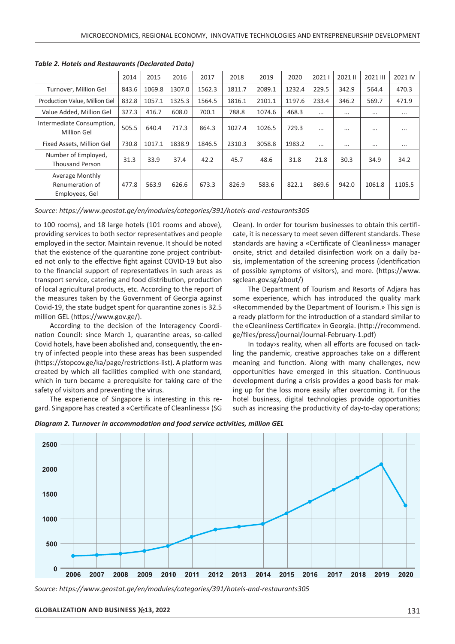|                                                             | 2014  | 2015   | 2016   | 2017   | 2018   | 2019   | 2020   | 20211    | 2021 II  | 2021 III | 2021 IV  |
|-------------------------------------------------------------|-------|--------|--------|--------|--------|--------|--------|----------|----------|----------|----------|
| Turnover, Million Gel                                       | 843.6 | 1069.8 | 1307.0 | 1562.3 | 1811.7 | 2089.1 | 1232.4 | 229.5    | 342.9    | 564.4    | 470.3    |
| Production Value, Million Gel                               | 832.8 | 1057.1 | 1325.3 | 1564.5 | 1816.1 | 2101.1 | 1197.6 | 233.4    | 346.2    | 569.7    | 471.9    |
| Value Added, Million Gel                                    | 327.3 | 416.7  | 608.0  | 700.1  | 788.8  | 1074.6 | 468.3  | $\cdots$ | $\cdots$ | $\cdots$ | $\cdots$ |
| Intermediate Consumption,<br><b>Million Gel</b>             | 505.5 | 640.4  | 717.3  | 864.3  | 1027.4 | 1026.5 | 729.3  | $\cdots$ | $\cdots$ |          | $\cdots$ |
| Fixed Assets, Million Gel                                   | 730.8 | 1017.1 | 1838.9 | 1846.5 | 2310.3 | 3058.8 | 1983.2 | $\cdots$ | $\cdots$ | $\cdots$ | $\cdots$ |
| Number of Employed,<br><b>Thousand Person</b>               | 31.3  | 33.9   | 37.4   | 42.2   | 45.7   | 48.6   | 31.8   | 21.8     | 30.3     | 34.9     | 34.2     |
| <b>Average Monthly</b><br>Renumeration of<br>Employees, Gel | 477.8 | 563.9  | 626.6  | 673.3  | 826.9  | 583.6  | 822.1  | 869.6    | 942.0    | 1061.8   | 1105.5   |

*Table 2. Hotels and Restaurants (Declarated Data)*

*Source: https://www.geostat.ge/en/modules/categories/391/hotels-and-restaurants305* 

to 100 rooms), and 18 large hotels (101 rooms and above), providing services to both sector representatives and people employed in the sector. Maintain revenue. It should be noted that the existence of the quarantine zone project contributed not only to the effective fight against COVID-19 but also to the financial support of representatives in such areas as transport service, catering and food distribution, production of local agricultural products, etc. According to the report of the measures taken by the Government of Georgia against Covid-19, the state budget spent for quarantine zones is 32.5 million GEL (https://www.gov.ge/).

According to the decision of the Interagency Coordination Council: since March 1, quarantine areas, so-called Covid hotels, have been abolished and, consequently, the entry of infected people into these areas has been suspended (https://stopcov.ge/ka/page/restrictions-list). A platform was created by which all facilities complied with one standard, which in turn became a prerequisite for taking care of the safety of visitors and preventing the virus.

The experience of Singapore is interesting in this regard. Singapore has created a «Certificate of Cleanliness» (SG Clean). In order for tourism businesses to obtain this certificate, it is necessary to meet seven different standards. These standards are having a «Certificate of Cleanliness» manager onsite, strict and detailed disinfection work on a daily basis, implementation of the screening process (identification of possible symptoms of visitors), and more. (https://www. sgclean.gov.sg/about/)

The Department of Tourism and Resorts of Adjara has some experience, which has introduced the quality mark «Recommended by the Department of Tourism.» This sign is a ready platform for the introduction of a standard similar to the «Cleanliness Certificate» in Georgia. (http://recommend. ge/files/press/journal/Journal-February-1.pdf)

In today›s reality, when all efforts are focused on tackling the pandemic, creative approaches take on a different meaning and function. Along with many challenges, new opportunities have emerged in this situation. Continuous development during a crisis provides a good basis for making up for the loss more easily after overcoming it. For the hotel business, digital technologies provide opportunities such as increasing the productivity of day-to-day operations;

*Diagram 2. Turnover in accommodation and food service activities, million GEL*



*Source: https://www.geostat.ge/en/modules/categories/391/hotels-and-restaurants305*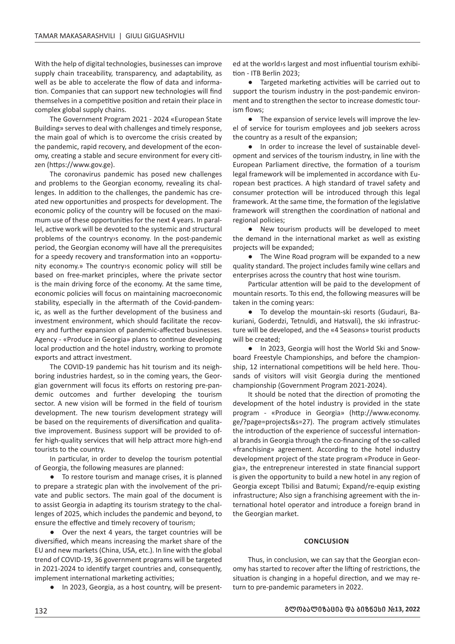With the help of digital technologies, businesses can improve supply chain traceability, transparency, and adaptability, as well as be able to accelerate the flow of data and information. Companies that can support new technologies will find themselves in a competitive position and retain their place in complex global supply chains.

The Government Program 2021 - 2024 «European State Building» serves to deal with challenges and timely response, the main goal of which is to overcome the crisis created by the pandemic, rapid recovery, and development of the economy, creating a stable and secure environment for every citizen (https://www.gov.ge).

The coronavirus pandemic has posed new challenges and problems to the Georgian economy, revealing its challenges. In addition to the challenges, the pandemic has created new opportunities and prospects for development. The economic policy of the country will be focused on the maximum use of these opportunities for the next 4 years. In parallel, active work will be devoted to the systemic and structural problems of the country›s economy. In the post-pandemic period, the Georgian economy will have all the prerequisites for a speedy recovery and transformation into an «opportunity economy.» The country›s economic policy will still be based on free-market principles, where the private sector is the main driving force of the economy. At the same time, economic policies will focus on maintaining macroeconomic stability, especially in the aftermath of the Covid-pandemic, as well as the further development of the business and investment environment, which should facilitate the recovery and further expansion of pandemic-affected businesses. Agency - «Produce in Georgia» plans to continue developing local production and the hotel industry, working to promote exports and attract investment.

The COVID-19 pandemic has hit tourism and its neighboring industries hardest, so in the coming years, the Georgian government will focus its efforts on restoring pre-pandemic outcomes and further developing the tourism sector. A new vision will be formed in the field of tourism development. The new tourism development strategy will be based on the requirements of diversification and qualitative improvement. Business support will be provided to offer high-quality services that will help attract more high-end tourists to the country.

In particular, in order to develop the tourism potential of Georgia, the following measures are planned:

● To restore tourism and manage crises, it is planned to prepare a strategic plan with the involvement of the private and public sectors. The main goal of the document is to assist Georgia in adapting its tourism strategy to the challenges of 2025, which includes the pandemic and beyond, to ensure the effective and timely recovery of tourism;

● Over the next 4 years, the target countries will be diversified, which means increasing the market share of the EU and new markets (China, USA, etc.). In line with the global trend of COVID-19, 36 government programs will be targeted in 2021-2024 to identify target countries and, consequently, implement international marketing activities;

● In 2023, Georgia, as a host country, will be present-

ed at the world›s largest and most influential tourism exhibition - ITB Berlin 2023;

● Targeted marketing activities will be carried out to support the tourism industry in the post-pandemic environment and to strengthen the sector to increase domestic tourism flows;

● The expansion of service levels will improve the level of service for tourism employees and job seekers across the country as a result of the expansion;

● In order to increase the level of sustainable development and services of the tourism industry, in line with the European Parliament directive, the formation of a tourism legal framework will be implemented in accordance with European best practices. A high standard of travel safety and consumer protection will be introduced through this legal framework. At the same time, the formation of the legislative framework will strengthen the coordination of national and regional policies;

● New tourism products will be developed to meet the demand in the international market as well as existing projects will be expanded;

• The Wine Road program will be expanded to a new quality standard. The project includes family wine cellars and enterprises across the country that host wine tourism.

Particular attention will be paid to the development of mountain resorts. To this end, the following measures will be taken in the coming years:

● To develop the mountain-ski resorts (Gudauri, Bakuriani, Goderdzi, Tetnuldi, and Hatsvali), the ski infrastructure will be developed, and the «4 Seasons» tourist products will be created;

● In 2023, Georgia will host the World Ski and Snowboard Freestyle Championships, and before the championship, 12 international competitions will be held here. Thousands of visitors will visit Georgia during the mentioned championship (Government Program 2021-2024).

It should be noted that the direction of promoting the development of the hotel industry is provided in the state program - «Produce in Georgia» (http://www.economy. ge/?page=projects&s=27). The program actively stimulates the introduction of the experience of successful international brands in Georgia through the co-financing of the so-called «franchising» agreement. According to the hotel industry development project of the state program «Produce in Georgia», the entrepreneur interested in state financial support is given the opportunity to build a new hotel in any region of Georgia except Tbilisi and Batumi; Expand/re-equip existing infrastructure; Also sign a franchising agreement with the international hotel operator and introduce a foreign brand in the Georgian market.

# **CONCLUSION**

Thus, in conclusion, we can say that the Georgian economy has started to recover after the lifting of restrictions, the situation is changing in a hopeful direction, and we may return to pre-pandemic parameters in 2022.